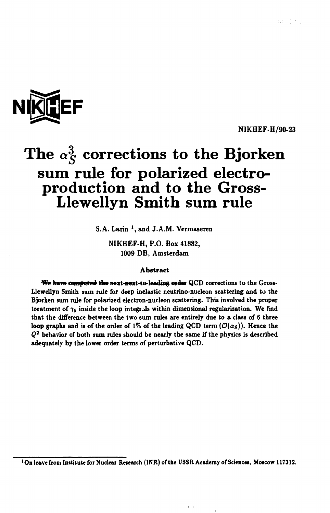

NIKHEF-H/90-23

# The  $\alpha_S^3$  corrections to the Bjorken **sum rule for polarized electroproduction and to the Gross-Llewellyn Smith sum rule**

S.A. Larin<sup>1</sup>, and J.A.M. Vermaseren

NIKHEF-H, P.O. Box 41882, 1009 DB, Amsterdam

#### Abstract

We have computed the next-next-to-leading order QCD corrections to the Gross-Llewellyn Smith sum rule for deep inelastic neutrino-nucleon scattering and to the Bjorken sum rule for polarized electron-nucleon scattering. This involved the proper treatment of  $\gamma_5$  inside the loop integrals within dimensional regularization. We find that the difference between the two sum rules are entirely due to a class of 6 three loop graphs and is of the order of 1% of the leading QCD term  $(\mathcal{O}(\alpha_S))$ . Hence the *Q 2* behavior of both sum rules should be nearly the same if the physics is described adequately by the lower order terms of perturbative QCD.

 $\vert \cdot \vert$ 

 $\sim 10$ 

<sup>l</sup>On leave from Institute for Nuclear Research (INR) of the USSR Academy of Sciences, Moscow 117312.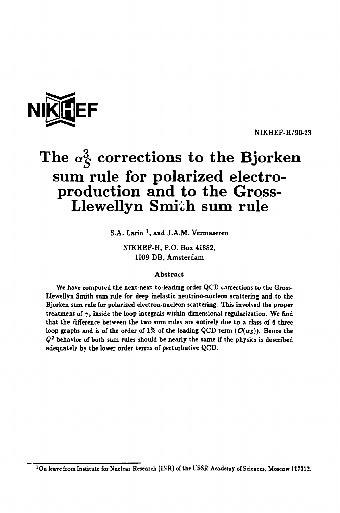

**NIKHEF-H/90-23** 

# The  $\alpha_S^3$  corrections to the Bjorken **sum rule for polarized electroproduction and to the Gross-**Llewellyn Smith sum rule

**S.A. Larin 1 , and J.A.M. Vermaseren** 

**NIKHEF-H, P.O. Box 41882, 1009 DB, Amsterdam** 

### **Abstract**

**We have computed the next-next-to-leading order QCD corrections to the Gross-Llewellyn Smith stun rule for deep inelastic neutrino-nucleon scattering and to the Bjorken sum rule for polarized electron-nucleon scattering. This involved the proper**  treatment of  $\gamma_5$  inside the loop integrals within dimensional regularization. We find **that the difference between the two sum rules are entirely due to a class of 6 three**  loop graphs and is of the order of 1% of the leading QCD term  $(\mathcal{O}(\alpha_S))$ . Hence the *Q 2*  **behavior of both sum rules should be nearly the same if the physics is described adequately by the lower order terms of perturbative QCD.** 

**<sup>&#</sup>x27;On leave from Institute for Nuclear Research (INR) of the USSR Academy of Sciences, Moscow 117312.**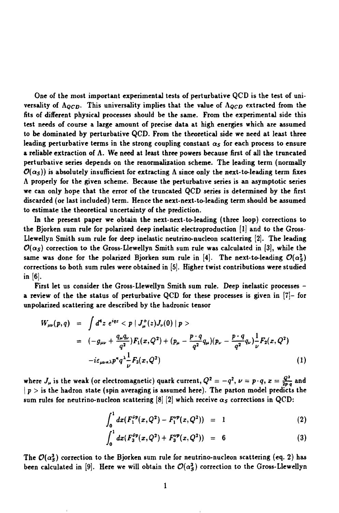**One of the most important experimental tests of perturbative QCD is the test of universality of**  $\Lambda_{QCD}$ . This universality implies that the value of  $\Lambda_{QCD}$  extracted from the **fits of different physical processes should be the same. From the experimental side this test needs of course a large amount of precise data at high energies which are assumed to be dominated by perturbative QCD. From the theoretical side we need at least three leading perturbative terms in the strong coupling constant** *as* **for each process to ensure a reliable extraction of A. We need at least three powers because first of all the truncated perturbative series depends on the renormalization scheme. The leading term (normally**   $\mathcal{O}(\alpha_s)$ ) is absolutely insufficient for extracting  $\Lambda$  since only the next-to-leading term fixes **A properly for the given scheme. Because the perturbative series is an asymptotic series we can only hope that the error of the truncated QCD series is determined by the first discarded (or last included) term. Hence the next-next-to-leading term should be assumed to estimate the theoretical uncertainty of the prediction.** 

**In the present paper we obtain the next-next-to-leading (three loop) corrections to the Bjorken sum rule for polarized deep inelastic electroproduction [l] and to the Gross-Llewellyn Smith sum rule for deep inelastic neutrino-nucleon scattering [2]. The leading**   $\mathcal{O}(\alpha_s)$  correction to the Gross-Llewellyn Smith sum rule was calculated in [3], while the same was done for the polarized Bjorken sum rule in [4]. The next-to-leading  $\mathcal{O}(\alpha_S^2)$ **corrections to both sum rules were obtained in [5]. Higher twist contributions were studied in [6].** 

**First let us consider the Gross-Llewellyn Smith sum rule. Deep inelastic processes a review of the the status of perturbative QCD for these processes is given in [7]- for unpolarized scattering are described by the hadronic tensor** 

$$
W_{\mu\nu}(p,q) = \int d^4z \ e^{iqz} < p | J^+_{\mu}(z)J_{\nu}(0) | p >
$$
  
=  $(-g_{\mu\nu} + \frac{q_{\mu}q_{\nu}}{q^2})F_1(x,Q^2) + (p_{\mu} - \frac{p \cdot q}{q^2}q_{\mu})(p_{\nu} - \frac{p \cdot q}{q^2}q_{\nu}) \frac{1}{\nu}F_2(x,Q^2)$   
 $-i\varepsilon_{\mu\nu\kappa\lambda}p^{\kappa}q^{\lambda} \frac{1}{\nu}F_3(x,Q^2)$  (1)

where  $J_{\mu}$  is the weak (or electromagnetic) quark current,  $Q^2 = -q^2$ ,  $\nu = p \cdot q$ ,  $x = \frac{Q^2}{2R^2}$  and  $|p>$  is the hadron state (spin averaging is assumed here). The parton model predicts the sum rules for neutrino-nucleon scattering  $[8]$   $[2]$  which receive  $\alpha_S$  corrections in QCD:

$$
\int_0^1 dx (F_1^{\nu p}(x,Q^2) - F_1^{\nu p}(x,Q^2)) = 1 \qquad (2)
$$

$$
\int_0^1 dx (F_3^{\rho p}(x,Q^2) + F_3^{\nu p}(x,Q^2)) = 6 \qquad (3)
$$

The  $\mathcal{O}(\alpha_S^3)$  correction to the Bjorken sum rule for neutrino-nucleon scattering (eq. 2) has been calculated in [9]. Here we will obtain the  $\mathcal{O}(\alpha_S^3)$  correction to the Gross-Llewellyn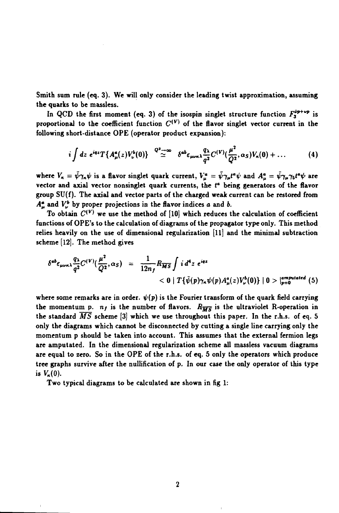**Smith sum rule (eq. 3). We will only consider the leading twist approximation, assuming the quarks to be massless.** 

In QCD the first moment (eq. 3) of the isospin singlet structure function  $F_3^{p+p+p}$  is proportional to the coefficient function  $C^{(V)}$  of the flavor singlet vector current in the **following short-distance OPE (operator product expansion):** 

$$
i\int dz\ e^{iqz}T\{A_\mu^a(z)V_\nu^b(0)\}\quad^{Q^2\to\infty}\quad\delta^{ab}\epsilon_{\mu\nu\kappa\lambda}\frac{q_\lambda}{q^2}C^{(V)}(\frac{\mu^2}{Q^2},\alpha_S)V_\kappa(0)+\ldots\qquad(4)
$$

where  $V_x = \bar{\psi} \gamma_x \psi$  is a flavor singlet quark current,  $V_u^a = \bar{\psi} \gamma_\mu t^a \psi$  and  $A_u^a = \bar{\psi} \gamma_\mu \gamma_5 t^a \psi$  are vector and axial vector nonsinglet quark currents, the t<sup>a</sup> being generators of the flavor **group SU(f). The axial and vector parts of the charged weak current can be restored from**   $A^a_\mu$  and  $V^b_\nu$  by proper projections in the flavor indices *a* and *b*.

**To obtain** *C^* **we use the method of [10] which reduces the calculation of coefficient functions of OPE's to the calculation of diagrams of the propagator type only. This method relies heavily on the use of dimensional regularization [ll] and the minimal subtraction scheme [12]. The method gives** 

$$
\delta^{ab}\varepsilon_{\mu\nu\kappa\lambda}\frac{q_{\lambda}}{q^2}C^{(V)}(\frac{\mu^2}{Q^2},\alpha_S) = \frac{1}{12n_f}R_{\overline{MS}}\int i\,d^4z\ e^{iqz} \\ &\leq 0\mid T\{\bar{\psi}(p)\gamma_{\kappa}\psi(p)A^a_{\mu}(z)V^b_{\nu}(0)\}\mid 0>\mid_{p=0}^{amputated}(5)
$$

where some remarks are in order.  $\psi(p)$  is the Fourier transform of the quark field carrying the momentum p.  $n_f$  is the number of flavors.  $R_{\overline{MS}}$  is the ultraviolet R-operation in **the standard** *MS* **scheme [3] which we use throughout this paper. In the r.h.s. of eq. 5 only the diagrams which cannot be disconnected by cutting a single line carrying only the momentum p should be taken into account. This assumes that the external fermion legs are amputated. In the dimensional regularization scheme all massless vacuum diagrams are equal to zero. So in the OPE of the r.h.s. of eq. 5 only the operators which produce tree graphs survive after the nullification of p. In our case the only operator of this type**  is  $V_{\kappa}(0)$ .

**Two typical diagrams to be calculated are shown in fig 1:**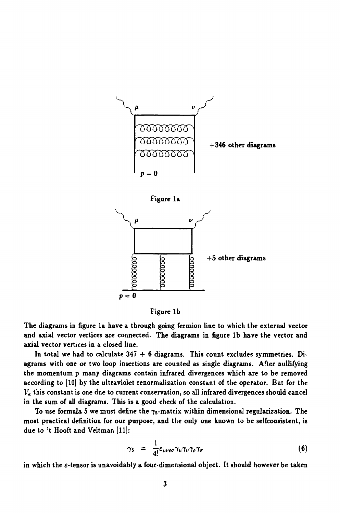



**The diagrams in figure la have a through going fermion line to which the external vector and axial vector vertices are connected. The diagrams in figure lb have the vector and axial vector vertices in a closed line.** 

**In total we had to calculate 347 + 6 diagrams. This count excludes symmetries. Diagrams with one or two loop insertions are counted as single diagrams. After nullifying the momentum p many diagrams contain infrared divergences which are to be removed according to [10] by the ultraviolet renormalization constant of the operator. But for the**   $V_{\kappa}$  this constant is one due to current conservation, so all infrared divergences should cancel **in the sum of all diagrams. This is a good check of the calculation.** 

To use formula 5 we must define the  $\gamma_5$ -matrix within dimensional regularization. The **most practical definition for our purpose, and the only one known to be selfconsistent, is due to 't Hooft and Veltman [11]:** 

$$
\gamma_5 = \frac{1}{4!} \varepsilon_{\mu\nu\rho\sigma} \gamma_{\mu} \gamma_{\nu} \gamma_{\rho} \gamma_{\sigma} \tag{6}
$$

**in which the £-tensor is unavoidably a four-dimensional object. It should however be taken**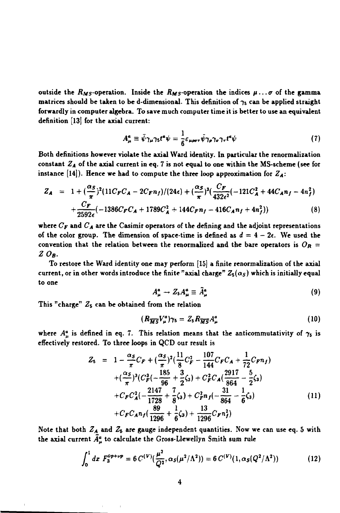outside the  $R_M$ <sub>5</sub>-operation. Inside the  $R_M$ <sub>5</sub>-operation the indices  $\mu \ldots \sigma$  of the gamma matrices should be taken to be d-dimensional. This definition of  $\gamma_5$  can be applied straight **forwardly in computer algebra. To save much computer time it is better to use an equivalent definition [13] for the axial current:** 

$$
A^a_\mu \equiv \bar{\psi} \gamma_\mu \gamma_5 t^a \psi = \frac{1}{6} \varepsilon_{\mu \rho \sigma \tau} \bar{\psi} \gamma_\rho \gamma_\sigma \gamma_\tau t^a \psi \tag{7}
$$

**Both definitions however violate the axial Ward identity. In particular the renormalization constant** *ZA* **of the axial current in eq. 7 is not equal to one within the MS-scheme (see for**  instance [14]). Hence we had to compute the three loop approximation for  $Z_A$ :

$$
Z_{A} = 1 + (\frac{\alpha_{S}}{\pi})^{2} (11C_{F}C_{A} - 2C_{F}n_{f})/(24\epsilon) + (\frac{\alpha_{S}}{\pi})^{3} (\frac{C_{F}}{432\epsilon^{2}} (-121C_{A}^{2} + 44C_{A}n_{f} - 4n_{f}^{2}) + \frac{C_{F}}{2592\epsilon} (-1386C_{F}C_{A} + 1789C_{A}^{2} + 144C_{F}n_{f} - 416C_{A}n_{f} + 4n_{f}^{2}))
$$
\n(8)

**where** *Cr* **and** *CA* **are the Casimir operators of the defining and the adjoint representations**  of the color group. The dimension of space-time is defined as  $d = 4 - 2\epsilon$ . We used the convention that the relation between the renormalized and the bare operators is  $O_R =$ *Z0B.* 

**To restore the Ward identity one may perform [15] a finite renormalization of the axial current, or in other words introduce the finite "axial charge"** *Zs(as)* **which is initially equal to one** 

$$
A^a_\mu \to Z_5 A^a_\mu \equiv \tilde{A}^a_\mu \tag{9}
$$

**This "charge" Z5 can be obtained from the relation** 

$$
(R_{\overline{MS}}V^a_\mu)\gamma_5 = Z_5 R_{\overline{MS}}A^a_\mu \qquad (10)
$$

where  $A^a_\mu$  is defined in eq. 7. This relation means that the anticommutativity of  $\gamma_5$  is **effectively restored. To three loops in QCD our result is** 

$$
Z_{5} = 1 - \frac{\alpha_{S}}{\pi}C_{F} + (\frac{\alpha_{S}}{\pi})^{2}(\frac{11}{8}C_{F}^{2} - \frac{107}{144}C_{F}C_{A} + \frac{1}{72}C_{F}n_{f})
$$
  
+  $(\frac{\alpha_{S}}{\pi})^{3}(C_{F}^{2}(-\frac{185}{96} + \frac{3}{2}\zeta_{3}) + C_{F}^{2}C_{A}(\frac{2917}{864} - \frac{5}{2}\zeta_{3})$   
+  $C_{F}C_{A}^{2}(-\frac{2147}{1728} + \frac{7}{8}\zeta_{3}) + C_{F}^{2}n_{f}(-\frac{31}{864} - \frac{1}{6}\zeta_{3})$   
+  $C_{F}C_{A}n_{f}(\frac{89}{1296} + \frac{1}{6}\zeta_{3}) + \frac{13}{1296}C_{F}n_{f}^{2})$  (11)

**Note that both** *ZA* **and Z5 are gauge independent quantities. Now we can use eq. 5 with**  the axial current  $\tilde{A}^a_\mu$  to calculate the Gross-Llewellyn Smith sum rule

$$
\int_0^1 dx \ F_3^{\nu p + \nu p} = 6 C^{(V)}(\frac{\mu^2}{Q^2}, \alpha_S(\mu^2/\Lambda^2)) = 6 C^{(V)}(1, \alpha_S(Q^2/\Lambda^2))
$$
 (12)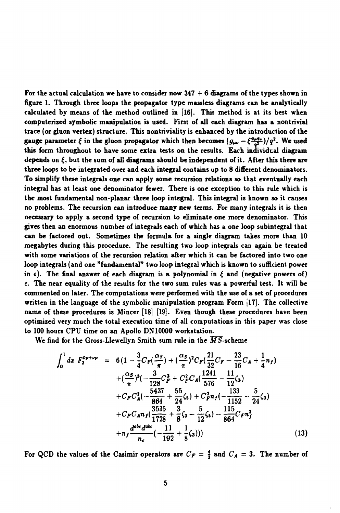**For the actual calculation we have to consider now 347 + 6 diagrams of the types shown in figure 1. Through three loops the propagator type massless diagrams can be analytically calculated by means of the method outlined in [16]. This method is at its best when computerized symbolic manipulation is used. First of all each diagram has a nontrivial trace (or gluon vertex) structure. This nontriviality is enhanced by the introduction of the gauge parameter**  $\xi$  in the gluon propagator which then becomes  $(g_{\mu\nu} - \xi \frac{q_{\mu}q_{\nu}}{r^2})/q^2$ . We used **this form throughout to have some extra tests on the results. Each individual diagram depends on £, but the sum of all diagrams should be independent of it. After this there are three loops to be integrated over and each integral contains up to 8 different denominators. To simplify these integrals one can apply some recursion relations so that eventually each integral has at least one denominator fewer. There is one exception to this rule which is the most fundamental non-planar three loop integral. This integral is known so it causes no problems. The recursion can introduce many new terms. For many integrals it is then necessary to apply a second type of recursion to eliminate one more denominator. This gives then an enormous number of integrals each of which has a one loop subintegral that can be factored out. Sometimes the formula for a single diagram takes more than 10 megabytes during this procedure. The resulting two loop integrals can again be treated with some variations of the recursion relation after which it can be factored into two one loop integrals (and one "fundamental" two loop integral which is known to sufficient power**  in  $\epsilon$ ). The final answer of each diagram is a polynomial in  $\epsilon$  and (negative powers of) **e. The near equality of the results for the two sum rules was a powerful test. It will be commented on later. The computations were performed with the use of a set of procedures written in the language of the symbolic manipulation program Form [17]. The collective name of these procedures is Mincer [18] [19]. Even though these procedures have been optimized very much the total execution time of all computations in this paper was close to 100 hours CPU time on an Apollo DN10000 workstation.** 

We find for the Gross-Llewellyn Smith sum rule in the *MS*-scheme

$$
\int_{0}^{1} dx F_{3}^{\sigma p + \nu p} = 6 \left( 1 - \frac{3}{4} C_{F} \left( \frac{\alpha_{S}}{\pi} \right) + \left( \frac{\alpha_{S}}{\pi} \right)^{2} C_{F} \left( \frac{21}{32} C_{F} - \frac{23}{16} C_{A} + \frac{1}{4} n_{f} \right) \right.\n+ \left( \frac{\alpha_{S}}{\pi} \right)^{3} \left( - \frac{3}{128} C_{F}^{3} + C_{F}^{2} C_{A} \left( \frac{1241}{576} - \frac{11}{12} \zeta_{3} \right) \right.\n+ C_{F} C_{A}^{2} \left( - \frac{5437}{864} + \frac{55}{24} \zeta_{S} \right) + C_{F}^{2} n_{f} \left( - \frac{133}{1152} - \frac{5}{24} \zeta_{3} \right) \right.\n+ C_{F} C_{A} n_{f} \left( \frac{3535}{1728} + \frac{3}{8} \zeta_{3} - \frac{5}{12} \zeta_{S} \right) - \frac{115}{864} C_{F} n_{f}^{2} \right.\n+ n_{f} \frac{d^{\alpha k} d^{\alpha k}}{n_{c}} \left( - \frac{11}{192} + \frac{1}{8} \zeta_{3} \right)) \tag{13}
$$

For QCD the values of the Casimir operators are  $C_F = \frac{4}{3}$  and  $C_A = 3$ . The number of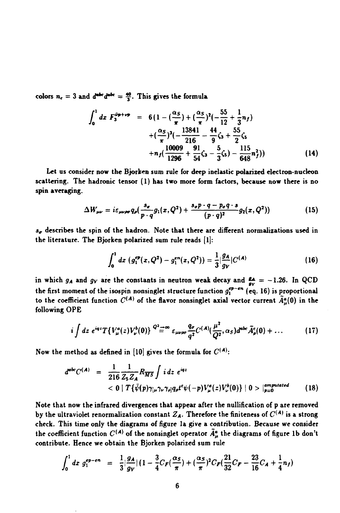colors  $n_c = 3$  and  $d^{abc}d^{abc} = \frac{40}{3}$ . This gives the formula

$$
\int_0^1 dx \ F_3^{\tilde{\nu} + \nu \tilde{\nu}} = 6(1 - (\frac{\alpha_S}{\pi}) + (\frac{\alpha_S}{\pi})^2 (-\frac{55}{12} + \frac{1}{3}n_f) \n+ (\frac{\alpha_S}{\pi})^3 (-\frac{13841}{216} - \frac{44}{9} \zeta_3 + \frac{55}{2} \zeta_5 \n+ n_f (\frac{10009}{1296} + \frac{91}{54} \zeta_3 - \frac{5}{3} \zeta_5) - \frac{115}{648} n_f^2))
$$
\n(14)

**Let us consider now the Bjorken sum rule for deep inelastic polarized electron-nucleon scattering. The hadronic tensor (1) has two more form factors, because now there is no spin averaging.** 

$$
\Delta W_{\mu\nu} = i \varepsilon_{\mu\nu\rho\sigma} q_{\rho} \left( \frac{s_{\sigma}}{p \cdot q} g_1(x, Q^2) + \frac{s_{\sigma} p \cdot q - p_{\sigma} q \cdot s}{(p \cdot q)^2} g_2(x, Q^2) \right) \tag{15}
$$

*s"* **describes the spin of the hadron. Note that there are different normalizations used in the literature. The Bjorken polarized sum rule reads [1]:** 

$$
\int_0^1 dx \, (g_1^{ep}(x,Q^2) - g_1^{en}(x,Q^2)) = \frac{1}{3} |\frac{g_A}{g_V}| C^{(A)} \qquad (16)
$$

in which  $g_A$  and  $g_V$  are the constants in neutron weak decay and  $\frac{g_A}{g_V} = -1.26$ . In QCD the first moment of the isospin nonsinglet structure function  $g_1^{ep-en}$  (eq. 16) is proportional to the coefficient function  $C^{(A)}$  of the flavor nonsinglet axial vector current  $\tilde{A}_{\mu}^{\alpha}(0)$  in the **following OPE** 

$$
i\int dz\ e^{iqz}T\{V_{\mu}^{a}(z)V_{\nu}^{b}(0)\} \frac{Q^{2}}{\equiv}\infty \varepsilon_{\mu\nu\rho\sigma}\frac{q_{\sigma}}{q^{2}}C^{(A)}(\frac{\mu^{2}}{Q^{2}},\alpha_{S})d^{\text{abc}}\tilde{A}_{\rho}^{c}(0)+\ldots
$$
 (17)

Now the method as defined in [10] gives the formula for  $C^{(A)}$ :

$$
d^{abc}C^{(A)} = \frac{1}{216}\frac{1}{Z_5Z_A}R_{\overline{MS}}\int i\,dz\,e^{iqz} \\ < 0\mid T\{\bar{\psi}(p)\gamma_{\mu}\gamma_{\nu}\gamma_{\rho}q_{\rho}t^c\psi(-p)V_{\mu}^{a}(z)V_{\nu}^{b}(0)\}\mid 0>\mid_{p=0}^{amputated} \qquad (18)
$$

**Note that now the infrared divergences that appear after the nullification of p are removed**  by the ultraviolet renormalization constant  $Z_A$ . Therefore the finiteness of  $C^{(A)}$  is a strong **check. This time only the diagrams of figure la give a contribution. Because we consider**  the coefficient function  $C^{(A)}$  of the nonsinglet operator  $\bar{A}_{\mu}^{a}$  the diagrams of figure 1b don't **contribute. Hence we obtain the Bjorken polarized sum rule** 

$$
\int_0^1 dx \; g_1^{ep-en} \; = \; \frac{1}{3} |\frac{g_A}{g_V}| \left(1 - \frac{3}{4} C_F (\frac{\alpha_S}{\pi}) + (\frac{\alpha_S}{\pi})^2 C_F (\frac{21}{32} C_F - \frac{23}{16} C_A + \frac{1}{4} n_f) \right)
$$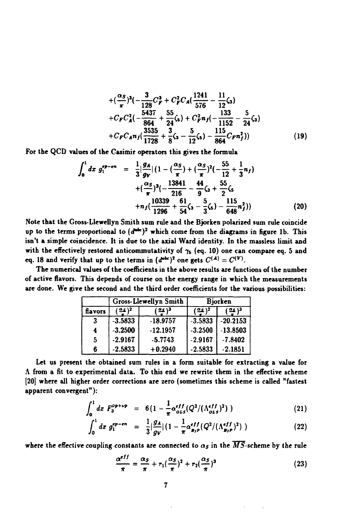$$
+(\frac{\alpha_{S}}{\pi})^{3}(-\frac{3}{128}C_{F}^{3}+C_{F}^{2}C_{A}(\frac{1241}{576}-\frac{11}{12}\zeta_{3})
$$
  
+ $C_{F}C_{A}^{2}(-\frac{5437}{864}+\frac{55}{24}\zeta_{5})+C_{F}^{2}n_{f}(-\frac{133}{1152}-\frac{5}{24}\zeta_{3})$   
+ $C_{F}C_{A}n_{f}(\frac{3535}{1728}+\frac{3}{8}\zeta_{3}-\frac{5}{12}\zeta_{5})-\frac{115}{864}C_{F}n_{f}^{2}))$  (19)

**For the QCD values of the Casimir operators this gives the formula** 

$$
\int_0^1 dx \, g_1^{\epsilon p - \epsilon n} = \frac{1}{3} |\frac{g_A}{g_V}| (1 - (\frac{\alpha_S}{\pi}) + (\frac{\alpha_S}{\pi})^2 (-\frac{55}{12} + \frac{1}{3} n_f) + (\frac{\alpha_S}{\pi})^3 (-\frac{13841}{216} - \frac{44}{9} \zeta_3 + \frac{55}{2} \zeta_5 + n_f (\frac{10339}{1296} + \frac{61}{54} \zeta_3 - \frac{5}{3} \zeta_5) - \frac{115}{648} n_f^2)) \tag{20}
$$

**Note that the Gross-Llewellyn Smith sum rule and the Bjorken polarized sum rule coincide up to the terms proportional to** *(d\*<sup>1</sup> \*)7*  **which come from the diagrams in figure lb. This isn't a simple coincidence. It is due to the axial Ward identity. In the massless limit and**  with the effectively restored anticommutativity of  $\gamma_s$  (eq. 10) one can compare eq. 5 and **eq.** 18 and verify that up to the terms in  $(d^{abc})^2$  one gets  $C^{(A)} = C^{(V)}$ .

**The numerical values of the coefficients in the above results are functions of the number of active flavors. This depends of course on the energy range in which the measurements are done. We give the second and the third order coefficients for the various possibilities:** 

|         | Gross-Llewellyn Smith |            | Bjorken   |                     |
|---------|-----------------------|------------|-----------|---------------------|
| flavors | 2 ( هغ)               | 3 ( عـه )  | 12212     | $(\frac{a_2}{a})^3$ |
| -3      | $-3.5833$             | $-18.9757$ | $-3.5833$ | $-20.2153$          |
| 4       | $-3.2500$             | $-12.1957$ | $-3.2500$ | $-13.8503$          |
| 5       | $-2.9167$             | $-5.7743$  | $-2.9167$ | $-7.8402$           |
| 6       | $-2.5833$             | $+0.2940$  | $-2.5833$ | $-2.1851$           |

**Let us present the obtained sum rules in a form suitable for extracting a value for A from a fit to experimental data. To this end we rewrite them in the effective scheme [20] where all higher order corrections are zero (sometimes this scheme is called "fastest apparent convergent"):** 

$$
\int_0^1 dx \; F_3^{\rho p + \nu p} \;\; = \;\; 6 \big( 1 - \frac{1}{\pi} \alpha_{\sigma L s}^{eff} (Q^2 / (\Lambda_{\sigma L s}^{eff})^2) \; ) \tag{21}
$$

$$
\int_0^1 dx \; g_1^{ep-en} \; = \; \frac{1}{3} |\frac{g_A}{g_V}| \left( 1 - \frac{1}{\pi} \alpha_{p_P}^{eff} (Q^2 / (\Lambda_{p_P}^{eff})^2) \right) \tag{22}
$$

where the effective coupling constants are connected to  $\alpha_s$  in the  $\overline{MS}$ -scheme by the rule

$$
\frac{\alpha^{eff}}{\pi} = \frac{\alpha_S}{\pi} + r_1(\frac{\alpha_S}{\pi})^2 + r_2(\frac{\alpha_S}{\pi})^3
$$
 (23)

 $\mathbb{F}$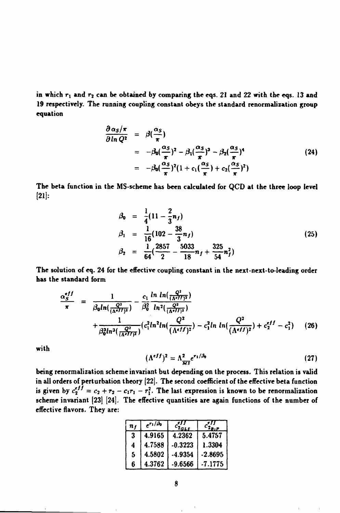**in which** *rx* **and r2 can be obtained by comparing the eqs. 21 and 22 with the eqs. 13 and 19 respectively. The running coupling constant obeys the standard renormalization group equation** 

$$
\frac{\partial \alpha_S/\pi}{\partial \ln Q^2} = \beta(\frac{\alpha_S}{\pi})
$$
  
=  $-\beta_0(\frac{\alpha_S}{\pi})^2 - \beta_1(\frac{\alpha_S}{\pi})^3 - \beta_2(\frac{\alpha_S}{\pi})^4$   
=  $-\beta_0(\frac{\alpha_S}{\pi})^2(1 + c_1(\frac{\alpha_S}{\pi}) + c_2(\frac{\alpha_S}{\pi})^2)$  (24)

**The beta function in the MS-scheme has been calculated for QCD at the three loop level**   $[21]$ :

$$
\beta_0 = \frac{1}{4}(11 - \frac{2}{3}n_f) \n\beta_1 = \frac{1}{16}(102 - \frac{38}{3}n_f) \n\beta_2 = \frac{1}{64}(\frac{2857}{2} - \frac{5033}{18}n_f + \frac{325}{54}n_f^2)
$$
\n(25)

**The solution of eq. 24 for the effective coupling constant in the next-next-to-leading order has the standard form** 

$$
\frac{\alpha_{S}^{eff}}{\pi} = \frac{1}{\beta_{0}ln(\frac{Q^{2}}{(\Lambda^{eff})^{2}})} - \frac{c_{1}}{\beta_{0}^{2}} \frac{ln ln(\frac{Q^{2}}{(\Lambda^{eff})^{2}})}{ln^{2}(\frac{Q^{2}}{(\Lambda^{eff})^{2}})}
$$

$$
+ \frac{1}{\beta_{0}^{3}ln^{3}(\frac{Q^{2}}{(\Lambda^{eff})^{2}})} (c_{1}^{2}ln(\frac{Q^{2}}{(\Lambda^{eff})^{2}}) - c_{1}^{2}ln ln(\frac{Q^{2}}{(\Lambda^{eff})^{2}}) + c_{2}^{eff} - c_{1}^{2}) \qquad (26)
$$

**with** 

$$
(\Lambda^{eff})^2 = \Lambda_{\overline{MS}}^2 e^{r_1/\beta_0} \tag{27}
$$

**being renormalization scheme invariant but depending on the process. This relation is valid in all orders of perturbation theory [22]. The second coefficient of the effective beta function**  is given by  $c_2^{eff} = c_2 + r_2 - c_1r_1 - r_1^2$ . The last expression is known to be renormalization **scheme invariant [23] [24]. The effective quantities are again functions of the number of effective flavors. They are:** 

| $\boldsymbol{n}$ ( | $e^{r_1/\bar{\beta}_0}$ |         |         |
|--------------------|-------------------------|---------|---------|
| 3                  | 4.9165                  | 4.2362  | 5.4757  |
| 4                  | 4.7588                  | -0.3223 | 1.3304  |
| 5                  | 4.5802                  | -4.9354 | -2.8695 |
| 6                  | 4.3762                  | -9.6566 | -7.1775 |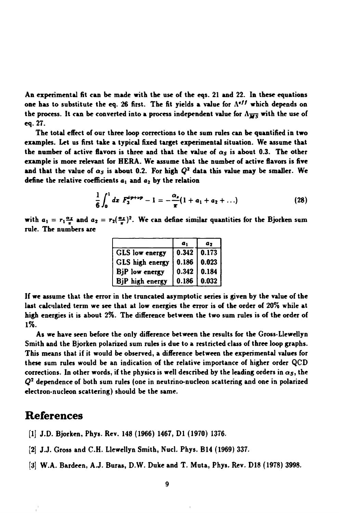**An experimental fit can be made with the use of the eqs. 21 and 22. In these equations**  one has to substitute the eq. 26 first. The fit yields a value for  $\Lambda^{eff}$  which depends on the process. It can be converted into a process independent value for  $\Lambda_{\overline{MS}}$  with the use of **eq. 27.** 

**The total effect of our three loop corrections to the sum rules can be quantified in two examples. Let us first take a typical fixed target experimental situation. We assume that the number of active flavors is three and that the value of** *as* **is about 0.3. The other example is more relevant for HERA. We assume that the number of active flavors is five**  and that the value of  $a_S$  is about 0.2. For high  $Q^2$  data this value may be smaller. We **define the relative coefficients** *ax* **and** *a2* **by the relation** 

$$
\frac{1}{6}\int_0^1 dx \ F_3^{\bar{\nu}p+\nu p}-1=-\frac{\alpha_s}{\pi}(1+a_1+a_2+\ldots) \qquad (28)
$$

with  $a_1 = r_1 \frac{a_1}{\pi}$  and  $a_2 = r_2(\frac{a_2}{\pi})^2$ . We can define similar quantities for the Bjorken sum **rule. The numbers are** 

|                 | a <sub>1</sub> | a <sub>2</sub>          |
|-----------------|----------------|-------------------------|
| GLS low energy  |                | $0.342$ 0.173           |
| GLS high energy |                | $0.186$   0.023         |
| BjP low energy  |                | $0.342 \mid 0.184 \mid$ |
| BjP high energy |                | $0.186$   0.032         |

**If we assume that the error in the truncated asymptotic series is given by the value of the last calculated term we see that at low energies the error is of the order of 20% while at high energies it is about 2%. The difference between the two sum rules is of the order of 1%.** 

**As we have seen before the only difference between the results for the Gross-Llewellyn Smith and the Bjorken polarized sum rules is due to a restricted class of three loop graphs. This means that if it would be observed, a difference between the experimental values for these sum rules would be an indication of the relative importance of higher order QCD**  corrections. In other words, if the physics is well described by the leading orders in  $\alpha_S$ , the *Q 2*  **dependence of both sum rules (one in neutrino-nucleon scattering and one in polarized electron-nucleon scattering) should be the same.** 

## **References**

- **[1] J.D. Bjorken, Phys. Rev. 148 (1966) 1467, Dl (1970) 1376-**
- **[2] J.J. Gross and C.H. Llewellyn Smith, Nucl. Phys. B14 (1969) 337.**
- **[3] W.A. Bardeen, A.J. Buras, D.W. Duke and T. Muta, Phys. Rev. D18 (1978) 3998.**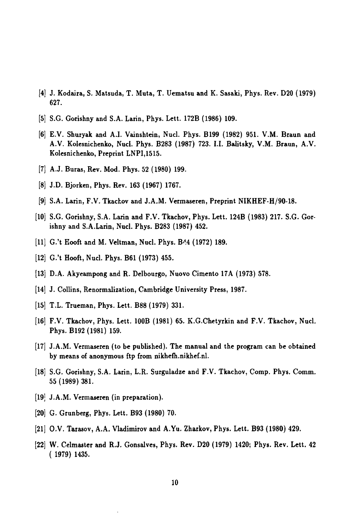- **[4] J. Kodaira, S. Matsuda, T. Muta, T. Uematsu and K. Sasaki, Phys. Rev. D20 (1979) 627.**
- [5] **S.G. Gorishny and S.A. Larin, Phys. Lett. 172B (1986) 109.**
- [6] **E.V. Shuryak and A.I. Vainshtein, Nucl. Phys. B199 (1982) 951. V.M. Braun and A.V. Kolesnichenko, Nucl. Phys. B283 (1987) 723. I.I. Balitsky, V.M. Braun, A.V. Kolesnichenko, Preprint LNPI,1515.**
- [7] **A.J. Buras, Rev. Mod. Phys. 52 (1980) 199.**
- [8] **J.D. Bjorken, Phys. Rev. 163 (1967) 1767.**
- [»: **S.A. Larin, F.V. Tkackov and J.A.M. Vermaseren, Preprint NIKHEF-H/90-18.**
- [io; **S.G. Gorishny, S.A. Larin and F.V. Tkachov, Phys. Lett. 124B (1983) 217. S.G. Gorishny and S.A.Larin, Nucl. Phys. B283 (1987) 452.**
- 11] G.'t Hooft and M. Veltman, Nucl. Phys. B<sup>A</sup>4 (1972) 189.
- **12 G.'t Hooft, Nucl. Phys. B61 (1973) 455.**
- **13 D.A. Akyeampong and R. Delbourgo, Nuovo Cimento 17A (1973) 578.**
- **14 J. Collins, Renormalization, Cambridge University Press, 1987.**
- **15 T.L. Trueman, Phys. Lett. B88 (1979) 331.**
- 16] F.V. Tkachov, Phys. Lett. 100B (1981) 65. K.G.Chetyrkin and F.V. Tkachov, Nucl. **Phys. B192 (1981) 159.**
- **17 J.A.M. Vermaseren (to be published). The manual and the program can be obtained by means of anonymous ftp from [nikhefh.nikhef.nl.](http://nikhefh.nikhef.nl)**
- 18 S.G. Gorishny, S.A. Larin, L.R. Surguladze and F.V. Tkachov, Comp. Phys. Comm. **55 (1989) 381.**
- **19] J.A.M. Vermaseren (in preparation).**
- **201 G. Grunberg, Phys. Lett. B93 (1980) 70.**
- **211 O.V. Tarasov, A.A. Vladimirov and A.Yu. Zharkov, Phys. Lett. B93 (1980) 429.**
- **221 W. Celmaster and R.J. Gonsalves, Phys. Rev. D20 (1979) 1420; Phys. Rev. Lett. 42 ( 1979) 1435.**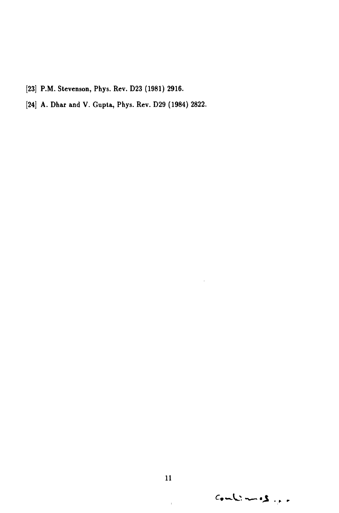- [23] P.M. Stevenson, Phys. Rev. D23 (1981) 2916.
- [24] A. Dhar and V. Gupta, Phys. Rev. D29 (1984) 2822.

 $\bar{1}$ 

 $Comb: = S_{\mu\nu}$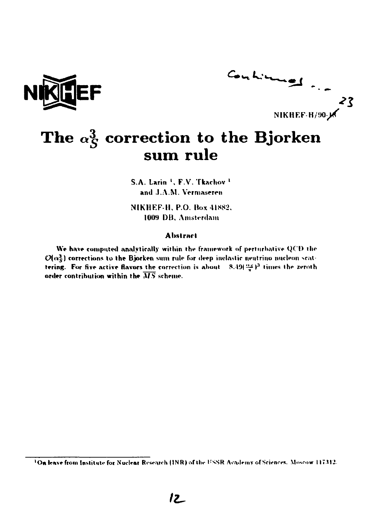



# The  $\alpha_S^3$  correction to the Bjorken sum rule

S.A. Larin <sup>1</sup>, F.V. Tkachov<sup>1</sup> and J.A.M. Vermaseren

NIKHEF-H, P.O. Box 41882. 1009 DB. Amsterdam

#### **A**bstract

We have computed analytically within the framework of perturbative QCD the  $\mathcal{O}(\alpha_s^3)$  corrections to the Bjorken sum rule for deep inelastic neutrino nucleon scattering. For five active flavors the correction is about  $8.49(\frac{m_S}{\pi})^3$  times the zeroth order contribution within the  $\overline{MS}$  scheme.

<sup>&</sup>lt;sup>1</sup>On leave from Institute for Nuclear Research (INR) of the USSR Academy of Sciences, Moscow 117312.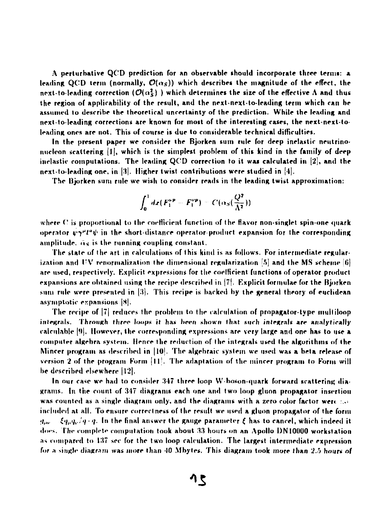**A perturbative QC'D prediction for an observable should incorporate three terms: a**  leading QCD term (normally,  $\mathcal{O}(\alpha_S)$ ) which describes the magnitude of the effect, the next-to-leading correction ( $\mathcal{O}(\alpha_5^2)$ ) which determines the size of the effective A and thus **the region of applicability of the result, and the next-next-to-leading term which can be assumed lo describe the theoretical uncertainty of the prediction. While the leading and next to leading corrections are known for most of the interesting cases, the next-next-toleading ones are not. This of course is due to considerable technical difficulties.** 

**In the present paper we consider the Bjorken sum rule for deep inelastic neutrino uurloon scattering [l|, which is the simplest problem of this kind in the family of deep inelastic computations. The leading QC'D correction to it was calculated in [2], and the next-to-leading one, in** *\'i\.* **Higher twist contributions were studied in [4|.** 

**The Bjorken sum rule we wish to consider reads in the leading twist approximation:** 

$$
\int_0^1 dx (F_1^{\nu p} - F_1^{\nu p}) = C(\alpha_S(\frac{Q^2}{\Lambda^2}))
$$

**where (' is proportional to the coefficient function of the flavor non-singlet spin-one quark operator**  $\mathbf{v} \gamma^{\mu} t^a \psi$  in the short-distance operator-product expansion for the corresponding **amplitude. fi<sup>s</sup> is the running coupling constant.** 

**The state of the art in calculations of this kind is as follows. For intermediate regular**ization and UV renormalization the dimensional regularization [5] and the MS scheme [6] are used, respectively. Explicit expressions for the coefficient functions of operator product **expansions are obtained using the recipe described in (7|. Explicit formulae for the Bjorken sum rule were presented in [3|. This recipe is backed by the general theory of euclidean asymptotic expansions |S|.** 

**The recipe of |7| reduces the problem lo the calculation of propagator type multiloop integrals. Through three loops it has beer» shown that such integrals are analytically**  calculable **[9]. However, the corresponding expressions are very large and one has to use a computer algebra system. Hence the reduction of the integrals used the algorithms of the Mincer program as described in |I0|. The algebraic system we used was a beta release of version 2 of the program Form (11'. The adaptation of the mincer program lo Form will be described elsewhere |I2|.** 

In our case we had to consider 347 three loop W-boson-quark forward scattering diagrams. In the count of 347 diagrams each one and two loop gluon propagator insertion was counted as a single diagram only, and the diagrams with a zero color factor were *the* **included at all. To ensure correctness of the result we used a gluon propagator of the form**   $g_{\mu\nu} = \xi g_{\mu} g_{\nu}/g \cdot q$ . In the final answer the gauge parameter  $\xi$  has to cancel, which indeed it **does. The complete compulation took about 33 hours on an Apollo DN10000 workstation as compared to 137 sec for the two loop calculation. The largest intermediate expression for a single diagram was more than 10 Mbytes. This diagram took more than 2.5 hours of**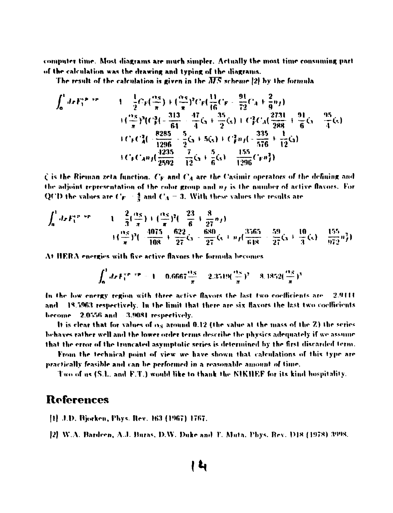computer time. Most diagrams are much simpler. Actually the most time consuming part of the calculation was the drawing and typing of the diagrams.

The result of the calculation is given in the  $\overline{MS}$  scheme [2] by the formula

$$
\int_0^1 dx F_1^{(p_1)p_2+p_3} = 1 - \frac{1}{2}Cr\left(\frac{\alpha_S}{\pi}\right) + \left(\frac{\alpha_S}{\pi}\right)^2 Cr\left(\frac{11}{16}Cr - \frac{91}{72}C_A + \frac{2}{9}n_f\right)
$$
  

$$
+ \left(\frac{\alpha_S}{\pi}\right)^3 \left(C_F^3\left(-\frac{313}{64} - \frac{47}{4}\zeta_3 + \frac{35}{2}\zeta_5\right) + C_F^2 C_A \left(\frac{2731}{288} + \frac{91}{6}\zeta_3 - \frac{95}{4}\zeta_5\right)
$$
  

$$
+ CrC_A n_f \left(\frac{8285}{2592} - \frac{5}{2}\zeta_3 + 5\zeta_5\right) + C_F^2 n_f \left(-\frac{335}{576} + \frac{1}{12}\zeta_3\right)
$$
  

$$
+ CrC_A n_f \left(\frac{4235}{2592} - \frac{7}{12}\zeta_3 + \frac{5}{6}\zeta_5\right) - \frac{155}{1296}Crn_f^2\right)
$$

 $\zeta$  is the Rieman zeta function.  $C_F$  and  $C_A$  are the Casimir operators of the defining and the adjoint representation of the color group and  $n_f$  is the number of active flavors. For QCD the values are  $C_F = \frac{4}{3}$  and  $C_A = 3$ . With these values the results are

$$
\int_0^1 dx F_1^{(p_1,p_2)} = 1 - \frac{2}{3} (\frac{\alpha_S}{\pi}) + (\frac{\alpha_S}{\pi})^2 (-\frac{23}{6} + \frac{8}{27}n_f)
$$
  
+  $(\frac{\alpha_S}{\pi})^3 (-\frac{4075}{108} + \frac{622}{27}\zeta_3 - \frac{680}{27}\zeta_3 + n_f(\frac{3565}{618} + \frac{59}{27}\zeta_3 + \frac{10}{3}\zeta_5) - \frac{155}{972}n_f^2)$ 

At HERA energies with five active flavors the formula becomes

$$
\int_0^1 dx F_1^{(p_1+p_2)} = 1 - 0.6667 \frac{\alpha_S}{\pi} = 2.3519(\frac{\alpha_S}{\pi})^2 = 8.1852(\frac{\alpha_S}{\pi})^3
$$

In the low energy region with three active flavors the last two coefficients are 2.9111 and 18.5963 respectively. In the limit that there are six flavors the last two coefficients hecome 2.0556 and 3.9081 respectively.

It is clear that for values of  $\alpha_S$  around 0.12 (the value at the mass of the Z) the series behaves rather well and the lower order terms describe the physics adequately if we assume that the error of the truncated asymptotic series is determined by the first discarded term.

From the technical point of view we have shown that calculations of this type are practically feasible and can be performed in a reasonable amount of time.

Two of as (S.L. and F.T.) would like to thank the NIKHEF for its kind hospitality.

### **References**

- [1] J.D. Bjorken, Phys. Rev. 163 (1967) 1767.
- [2] W.A. Bardcen, A.J. Baras, D.W. Duke and T. Muta, Phys. Rev. D18 (1978) 3998.